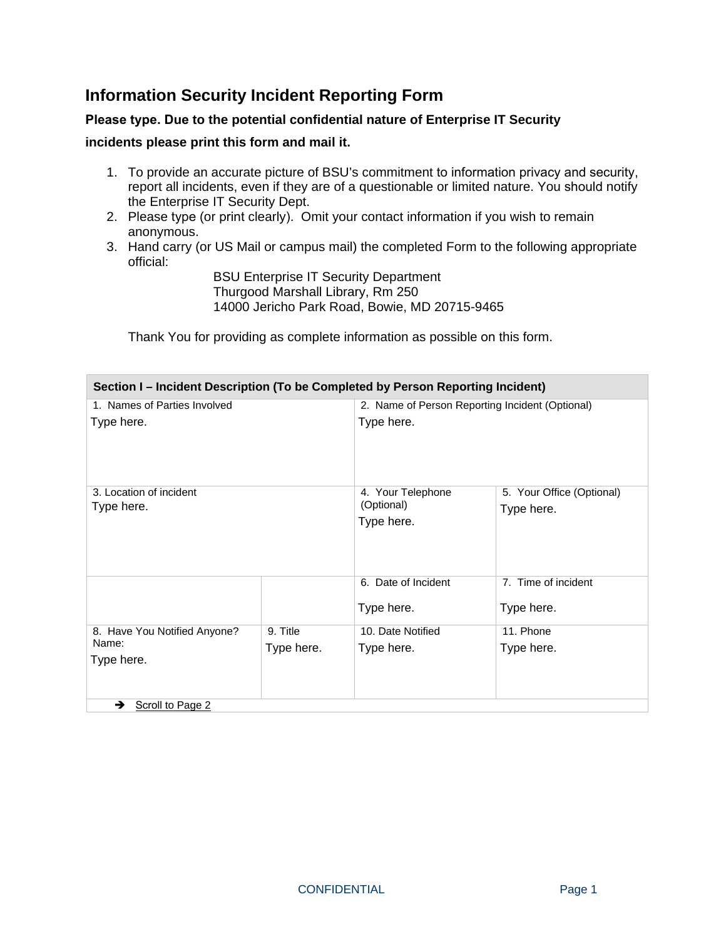## **Information Security Incident Reporting Form**

## **Please type. Due to the potential confidential nature of Enterprise IT Security**

## **incidents please print this form and mail it.**

- 1. To provide an accurate picture of BSU's commitment to information privacy and security, report all incidents, even if they are of a questionable or limited nature. You should notify the Enterprise IT Security Dept.
- 2. Please type (or print clearly). Omit your contact information if you wish to remain anonymous.
- 3. Hand carry (or US Mail or campus mail) the completed Form to the following appropriate official:

BSU Enterprise IT Security Department Thurgood Marshall Library, Rm 250 14000 Jericho Park Road, Bowie, MD 20715-9465

Thank You for providing as complete information as possible on this form.

| Section I - Incident Description (To be Completed by Person Reporting Incident) |            |                                                 |                           |
|---------------------------------------------------------------------------------|------------|-------------------------------------------------|---------------------------|
| 1. Names of Parties Involved                                                    |            | 2. Name of Person Reporting Incident (Optional) |                           |
| Type here.                                                                      |            | Type here.                                      |                           |
| 3. Location of incident                                                         |            | 4. Your Telephone                               | 5. Your Office (Optional) |
| Type here.                                                                      |            | (Optional)<br>Type here.                        | Type here.                |
|                                                                                 |            | 6. Date of Incident                             | 7. Time of incident       |
|                                                                                 |            | Type here.                                      | Type here.                |
| 8. Have You Notified Anyone?                                                    | 9. Title   | 10. Date Notified                               | 11. Phone                 |
| Name:<br>Type here.                                                             | Type here. | Type here.                                      | Type here.                |
| Scroll to Page 2<br>→                                                           |            |                                                 |                           |